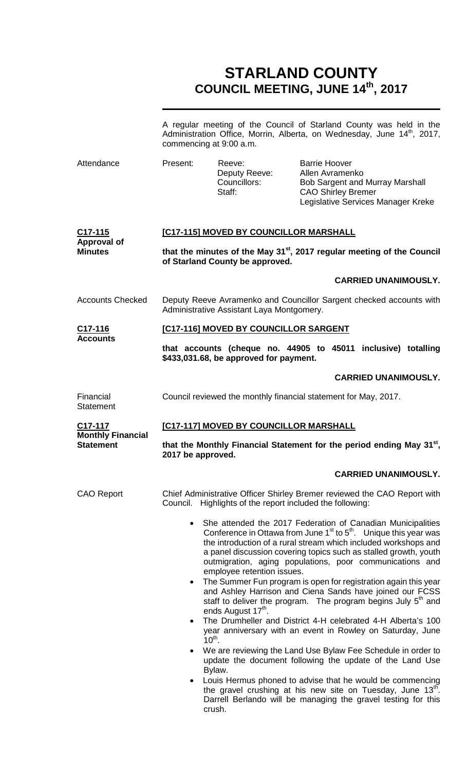## **STARLAND COUNTY COUNCIL MEETING, JUNE 14th, 2017**

|                                                     |                                                                                                                                                                                                                                                                                                                                                                                                                                                                                                                                                                                                                                                                                                                                                                                                                                                                                                                                       | commencing at 9:00 a.m.                                   |                                                                      | A regular meeting of the Council of Starland County was held in the<br>Administration Office, Morrin, Alberta, on Wednesday, June 14 <sup>th</sup> , 2017,                                            |  |
|-----------------------------------------------------|---------------------------------------------------------------------------------------------------------------------------------------------------------------------------------------------------------------------------------------------------------------------------------------------------------------------------------------------------------------------------------------------------------------------------------------------------------------------------------------------------------------------------------------------------------------------------------------------------------------------------------------------------------------------------------------------------------------------------------------------------------------------------------------------------------------------------------------------------------------------------------------------------------------------------------------|-----------------------------------------------------------|----------------------------------------------------------------------|-------------------------------------------------------------------------------------------------------------------------------------------------------------------------------------------------------|--|
| Attendance                                          | Present:                                                                                                                                                                                                                                                                                                                                                                                                                                                                                                                                                                                                                                                                                                                                                                                                                                                                                                                              | Reeve:<br>Deputy Reeve:<br>Councillors:<br>Staff:         | <b>Barrie Hoover</b><br>Allen Avramenko<br><b>CAO Shirley Bremer</b> | Bob Sargent and Murray Marshall<br>Legislative Services Manager Kreke                                                                                                                                 |  |
| $C17 - 115$<br><b>Approval of</b><br><b>Minutes</b> | [C17-115] MOVED BY COUNCILLOR MARSHALL                                                                                                                                                                                                                                                                                                                                                                                                                                                                                                                                                                                                                                                                                                                                                                                                                                                                                                |                                                           |                                                                      |                                                                                                                                                                                                       |  |
|                                                     | that the minutes of the May 31 <sup>st</sup> , 2017 regular meeting of the Council<br>of Starland County be approved.                                                                                                                                                                                                                                                                                                                                                                                                                                                                                                                                                                                                                                                                                                                                                                                                                 |                                                           |                                                                      |                                                                                                                                                                                                       |  |
|                                                     |                                                                                                                                                                                                                                                                                                                                                                                                                                                                                                                                                                                                                                                                                                                                                                                                                                                                                                                                       |                                                           |                                                                      | <b>CARRIED UNANIMOUSLY.</b>                                                                                                                                                                           |  |
| <b>Accounts Checked</b>                             | Deputy Reeve Avramenko and Councillor Sargent checked accounts with<br>Administrative Assistant Laya Montgomery.                                                                                                                                                                                                                                                                                                                                                                                                                                                                                                                                                                                                                                                                                                                                                                                                                      |                                                           |                                                                      |                                                                                                                                                                                                       |  |
| C <sub>17</sub> -116<br><b>Accounts</b>             | [C17-116] MOVED BY COUNCILLOR SARGENT                                                                                                                                                                                                                                                                                                                                                                                                                                                                                                                                                                                                                                                                                                                                                                                                                                                                                                 |                                                           |                                                                      |                                                                                                                                                                                                       |  |
|                                                     |                                                                                                                                                                                                                                                                                                                                                                                                                                                                                                                                                                                                                                                                                                                                                                                                                                                                                                                                       | \$433,031.68, be approved for payment.                    |                                                                      | that accounts (cheque no. 44905 to 45011 inclusive) totalling                                                                                                                                         |  |
|                                                     |                                                                                                                                                                                                                                                                                                                                                                                                                                                                                                                                                                                                                                                                                                                                                                                                                                                                                                                                       |                                                           |                                                                      | <b>CARRIED UNANIMOUSLY.</b>                                                                                                                                                                           |  |
| Financial<br><b>Statement</b>                       | Council reviewed the monthly financial statement for May, 2017.                                                                                                                                                                                                                                                                                                                                                                                                                                                                                                                                                                                                                                                                                                                                                                                                                                                                       |                                                           |                                                                      |                                                                                                                                                                                                       |  |
| C17-117                                             | [C17-117] MOVED BY COUNCILLOR MARSHALL                                                                                                                                                                                                                                                                                                                                                                                                                                                                                                                                                                                                                                                                                                                                                                                                                                                                                                |                                                           |                                                                      |                                                                                                                                                                                                       |  |
| <b>Monthly Financial</b><br><b>Statement</b>        | that the Monthly Financial Statement for the period ending May 31 <sup>st</sup> ,<br>2017 be approved.                                                                                                                                                                                                                                                                                                                                                                                                                                                                                                                                                                                                                                                                                                                                                                                                                                |                                                           |                                                                      |                                                                                                                                                                                                       |  |
|                                                     |                                                                                                                                                                                                                                                                                                                                                                                                                                                                                                                                                                                                                                                                                                                                                                                                                                                                                                                                       |                                                           |                                                                      | <b>CARRIED UNANIMOUSLY.</b>                                                                                                                                                                           |  |
| <b>CAO Report</b>                                   |                                                                                                                                                                                                                                                                                                                                                                                                                                                                                                                                                                                                                                                                                                                                                                                                                                                                                                                                       | Council. Highlights of the report included the following: |                                                                      | Chief Administrative Officer Shirley Bremer reviewed the CAO Report with                                                                                                                              |  |
|                                                     | She attended the 2017 Federation of Canadian Municipalities<br>$\bullet$<br>Conference in Ottawa from June $1st$ to $5th$ . Unique this year was<br>the introduction of a rural stream which included workshops and<br>a panel discussion covering topics such as stalled growth, youth<br>outmigration, aging populations, poor communications and<br>employee retention issues.<br>The Summer Fun program is open for registration again this year<br>$\bullet$<br>and Ashley Harrison and Ciena Sands have joined our FCSS<br>staff to deliver the program. The program begins July $5th$ and<br>ends August 17 <sup>th</sup> .<br>The Drumheller and District 4-H celebrated 4-H Alberta's 100<br>$\bullet$<br>year anniversary with an event in Rowley on Saturday, June<br>$10^{th}$ .<br>We are reviewing the Land Use Bylaw Fee Schedule in order to<br>$\bullet$<br>update the document following the update of the Land Use |                                                           |                                                                      |                                                                                                                                                                                                       |  |
|                                                     |                                                                                                                                                                                                                                                                                                                                                                                                                                                                                                                                                                                                                                                                                                                                                                                                                                                                                                                                       | Bylaw.<br>crush.                                          |                                                                      | Louis Hermus phoned to advise that he would be commencing<br>the gravel crushing at his new site on Tuesday, June 13 <sup>th</sup> .<br>Darrell Berlando will be managing the gravel testing for this |  |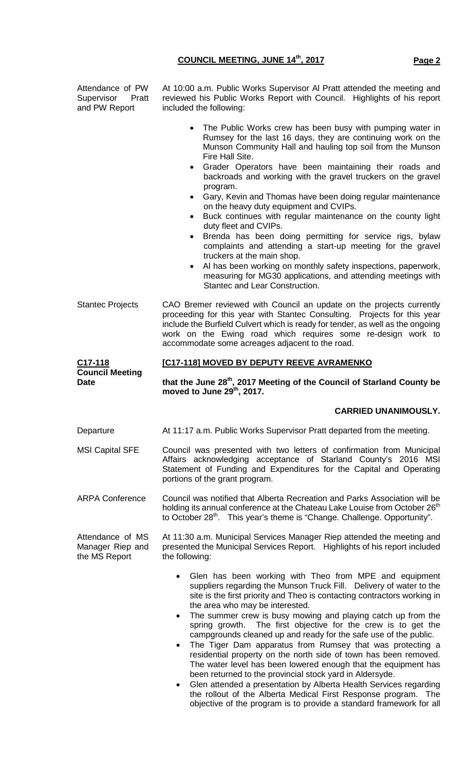| Attendance of PW<br>Supervisor Pratt<br>and PW Report | At 10:00 a.m. Public Works Supervisor Al Pratt attended the meeting and<br>reviewed his Public Works Report with Council. Highlights of his report<br>included the following:                                                                                                                                                                                                                                                                                                                                                                                                                                                                                                                                                                                                                                                                                                                                      |  |  |  |
|-------------------------------------------------------|--------------------------------------------------------------------------------------------------------------------------------------------------------------------------------------------------------------------------------------------------------------------------------------------------------------------------------------------------------------------------------------------------------------------------------------------------------------------------------------------------------------------------------------------------------------------------------------------------------------------------------------------------------------------------------------------------------------------------------------------------------------------------------------------------------------------------------------------------------------------------------------------------------------------|--|--|--|
|                                                       | The Public Works crew has been busy with pumping water in<br>Rumsey for the last 16 days, they are continuing work on the<br>Munson Community Hall and hauling top soil from the Munson<br>Fire Hall Site.<br>Grader Operators have been maintaining their roads and<br>$\bullet$<br>backroads and working with the gravel truckers on the gravel<br>program.<br>Gary, Kevin and Thomas have been doing regular maintenance<br>$\bullet$<br>on the heavy duty equipment and CVIPs.<br>Buck continues with regular maintenance on the county light<br>$\bullet$<br>duty fleet and CVIPs.<br>Brenda has been doing permitting for service rigs, bylaw<br>complaints and attending a start-up meeting for the gravel<br>truckers at the main shop.<br>Al has been working on monthly safety inspections, paperwork,<br>measuring for MG30 applications, and attending meetings with<br>Stantec and Lear Construction. |  |  |  |
| <b>Stantec Projects</b>                               | CAO Bremer reviewed with Council an update on the projects currently<br>proceeding for this year with Stantec Consulting. Projects for this year<br>include the Burfield Culvert which is ready for tender, as well as the ongoing<br>work on the Ewing road which requires some re-design work to<br>accommodate some acreages adjacent to the road.                                                                                                                                                                                                                                                                                                                                                                                                                                                                                                                                                              |  |  |  |
| C <sub>17</sub> -118<br><b>Council Meeting</b>        | [C17-118] MOVED BY DEPUTY REEVE AVRAMENKO                                                                                                                                                                                                                                                                                                                                                                                                                                                                                                                                                                                                                                                                                                                                                                                                                                                                          |  |  |  |
| <b>Date</b>                                           | that the June 28 <sup>th</sup> , 2017 Meeting of the Council of Starland County be<br>moved to June 29th, 2017.                                                                                                                                                                                                                                                                                                                                                                                                                                                                                                                                                                                                                                                                                                                                                                                                    |  |  |  |
|                                                       | <b>CARRIED UNANIMOUSLY.</b>                                                                                                                                                                                                                                                                                                                                                                                                                                                                                                                                                                                                                                                                                                                                                                                                                                                                                        |  |  |  |
| Departure                                             | At 11:17 a.m. Public Works Supervisor Pratt departed from the meeting.                                                                                                                                                                                                                                                                                                                                                                                                                                                                                                                                                                                                                                                                                                                                                                                                                                             |  |  |  |
| <b>MSI Capital SFE</b>                                | Council was presented with two letters of confirmation from Municipal<br>Affairs acknowledging acceptance of Starland County's 2016 MSI<br>Statement of Funding and Expenditures for the Capital and Operating<br>portions of the grant program.                                                                                                                                                                                                                                                                                                                                                                                                                                                                                                                                                                                                                                                                   |  |  |  |
| <b>ARPA Conference</b>                                | Council was notified that Alberta Recreation and Parks Association will be<br>holding its annual conference at the Chateau Lake Louise from October 26 <sup>th</sup><br>to October 28 <sup>th</sup> . This year's theme is "Change. Challenge. Opportunity".                                                                                                                                                                                                                                                                                                                                                                                                                                                                                                                                                                                                                                                       |  |  |  |
| Attendance of MS<br>Manager Riep and<br>the MS Report | At 11:30 a.m. Municipal Services Manager Riep attended the meeting and<br>presented the Municipal Services Report. Highlights of his report included<br>the following:                                                                                                                                                                                                                                                                                                                                                                                                                                                                                                                                                                                                                                                                                                                                             |  |  |  |
|                                                       | Glen has been working with Theo from MPE and equipment<br>suppliers regarding the Munson Truck Fill. Delivery of water to the<br>site is the first priority and Theo is contacting contractors working in<br>the area who may be interested.<br>The summer crew is busy mowing and playing catch up from the<br>$\bullet$<br>spring growth. The first objective for the crew is to get the<br>campgrounds cleaned up and ready for the safe use of the public.<br>The Tiger Dam apparatus from Rumsey that was protecting a<br>residential property on the north side of town has been removed.<br>The water level has been lowered enough that the equipment has<br>been returned to the provincial stock yard in Aldersyde.<br>Glen attended a presentation by Alberta Health Services regarding<br>the rollout of the Alberta Medical First Response program. The                                               |  |  |  |

objective of the program is to provide a standard framework for all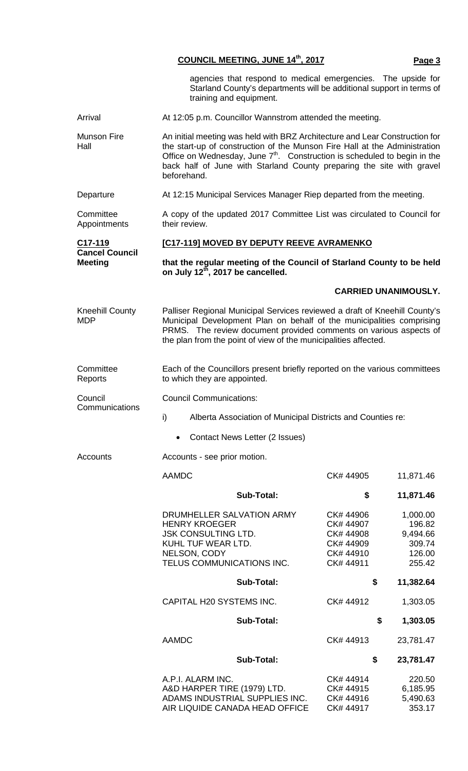|                                               | <b>COUNCIL MEETING, JUNE 14th, 2017</b><br>Page 3                                                                                                                                                                                                                                                                                          |  |  |  |
|-----------------------------------------------|--------------------------------------------------------------------------------------------------------------------------------------------------------------------------------------------------------------------------------------------------------------------------------------------------------------------------------------------|--|--|--|
|                                               | agencies that respond to medical emergencies. The upside for<br>Starland County's departments will be additional support in terms of<br>training and equipment.                                                                                                                                                                            |  |  |  |
| Arrival                                       | At 12:05 p.m. Councillor Wannstrom attended the meeting.                                                                                                                                                                                                                                                                                   |  |  |  |
| Munson Fire<br>Hall                           | An initial meeting was held with BRZ Architecture and Lear Construction for<br>the start-up of construction of the Munson Fire Hall at the Administration<br>Office on Wednesday, June 7 <sup>th</sup> . Construction is scheduled to begin in the<br>back half of June with Starland County preparing the site with gravel<br>beforehand. |  |  |  |
| Departure                                     | At 12:15 Municipal Services Manager Riep departed from the meeting.                                                                                                                                                                                                                                                                        |  |  |  |
| Committee<br>Appointments                     | A copy of the updated 2017 Committee List was circulated to Council for<br>their review.                                                                                                                                                                                                                                                   |  |  |  |
| C <sub>17</sub> -119<br><b>Cancel Council</b> | [C17-119] MOVED BY DEPUTY REEVE AVRAMENKO                                                                                                                                                                                                                                                                                                  |  |  |  |
| <b>Meeting</b>                                | that the regular meeting of the Council of Starland County to be held<br>on July 12th, 2017 be cancelled.                                                                                                                                                                                                                                  |  |  |  |
|                                               | <b>CARRIED UNANIMOUSLY.</b>                                                                                                                                                                                                                                                                                                                |  |  |  |
| <b>Kneehill County</b><br><b>MDP</b>          | Palliser Regional Municipal Services reviewed a draft of Kneehill County's<br>Municipal Development Plan on behalf of the municipalities comprising<br>PRMS. The review document provided comments on various aspects of<br>the plan from the point of view of the municipalities affected.                                                |  |  |  |
| Committee<br>Reports                          | Each of the Councillors present briefly reported on the various committees<br>to which they are appointed.                                                                                                                                                                                                                                 |  |  |  |
| Council<br>Communications                     | <b>Council Communications:</b>                                                                                                                                                                                                                                                                                                             |  |  |  |
|                                               | i)<br>Alberta Association of Municipal Districts and Counties re:                                                                                                                                                                                                                                                                          |  |  |  |
|                                               | Contact News Letter (2 Issues)                                                                                                                                                                                                                                                                                                             |  |  |  |

Accounts **Accounts** - see prior motion.

AAMDC CK# 44905 11,871.46

| Sub-Total:                                                                                                           | \$                                              | 11,871.46                                |
|----------------------------------------------------------------------------------------------------------------------|-------------------------------------------------|------------------------------------------|
| DRUMHELLER SALVATION ARMY<br><b>HENRY KROEGER</b><br><b>JSK CONSULTING LTD.</b>                                      | CK# 44906<br>CK# 44907<br>CK# 44908             | 1,000.00<br>196.82<br>9,494.66           |
| KUHL TUF WEAR LTD.<br>NELSON, CODY<br>TELUS COMMUNICATIONS INC.                                                      | CK# 44909<br>CK#44910<br>CK# 44911              | 309.74<br>126.00<br>255.42               |
| Sub-Total:                                                                                                           |                                                 | \$<br>11,382.64                          |
| CAPITAL H20 SYSTEMS INC.                                                                                             | CK#44912                                        | 1,303.05                                 |
| Sub-Total:                                                                                                           |                                                 | \$<br>1,303.05                           |
| <b>AAMDC</b>                                                                                                         | CK#44913                                        | 23,781.47                                |
| Sub-Total:                                                                                                           |                                                 | \$<br>23,781.47                          |
| A.P.I. ALARM INC.<br>A&D HARPER TIRE (1979) LTD.<br>ADAMS INDUSTRIAL SUPPLIES INC.<br>AIR LIQUIDE CANADA HEAD OFFICE | CK# 44914<br>CK# 44915<br>CK# 44916<br>CK#44917 | 220.50<br>6,185.95<br>5,490.63<br>353.17 |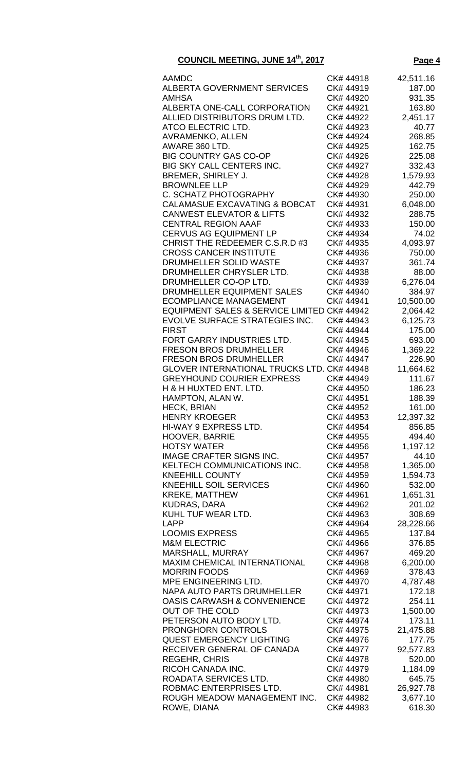| <b>AAMDC</b>                                                  | CK# 44918              | 42,511.16           |
|---------------------------------------------------------------|------------------------|---------------------|
| ALBERTA GOVERNMENT SERVICES                                   | CK# 44919              | 187.00              |
| <b>AMHSA</b>                                                  | CK# 44920              | 931.35              |
| ALBERTA ONE-CALL CORPORATION                                  | CK# 44921              | 163.80              |
| ALLIED DISTRIBUTORS DRUM LTD.                                 | CK# 44922              | 2,451.17            |
| ATCO ELECTRIC LTD.                                            | CK# 44923              | 40.77               |
| <b>AVRAMENKO, ALLEN</b>                                       | CK# 44924              | 268.85              |
| AWARE 360 LTD.<br><b>BIG COUNTRY GAS CO-OP</b>                | CK# 44925              | 162.75              |
| BIG SKY CALL CENTERS INC.                                     | CK# 44926<br>CK# 44927 | 225.08<br>332.43    |
| BREMER, SHIRLEY J.                                            | CK# 44928              | 1,579.93            |
| <b>BROWNLEE LLP</b>                                           | CK# 44929              | 442.79              |
| C. SCHATZ PHOTOGRAPHY                                         | CK# 44930              | 250.00              |
| <b>CALAMASUE EXCAVATING &amp; BOBCAT</b>                      | CK# 44931              | 6,048.00            |
| <b>CANWEST ELEVATOR &amp; LIFTS</b>                           | CK# 44932              | 288.75              |
| <b>CENTRAL REGION AAAF</b>                                    | CK# 44933              | 150.00              |
| <b>CERVUS AG EQUIPMENT LP</b>                                 | CK# 44934              | 74.02               |
| CHRIST THE REDEEMER C.S.R.D #3                                | CK# 44935              | 4,093.97            |
| <b>CROSS CANCER INSTITUTE</b>                                 | CK# 44936              | 750.00              |
| DRUMHELLER SOLID WASTE                                        | CK# 44937              | 361.74              |
| DRUMHELLER CHRYSLER LTD.                                      | CK# 44938              | 88.00               |
| DRUMHELLER CO-OP LTD.                                         | CK# 44939              | 6,276.04            |
| DRUMHELLER EQUIPMENT SALES                                    | CK# 44940              | 384.97              |
| <b>ECOMPLIANCE MANAGEMENT</b>                                 | CK# 44941              | 10,500.00           |
| EQUIPMENT SALES & SERVICE LIMITED CK# 44942                   |                        | 2,064.42            |
| EVOLVE SURFACE STRATEGIES INC.<br><b>FIRST</b>                | CK# 44943<br>CK# 44944 | 6,125.73            |
| FORT GARRY INDUSTRIES LTD.                                    | CK# 44945              | 175.00<br>693.00    |
| <b>FRESON BROS DRUMHELLER</b>                                 | CK# 44946              | 1,369.22            |
| <b>FRESON BROS DRUMHELLER</b>                                 | CK# 44947              | 226.90              |
| <b>GLOVER INTERNATIONAL TRUCKS LTD. CK# 44948</b>             |                        | 11,664.62           |
| <b>GREYHOUND COURIER EXPRESS</b>                              | CK# 44949              | 111.67              |
| H & H HUXTED ENT. LTD.                                        | CK# 44950              | 186.23              |
| HAMPTON, ALAN W.                                              | CK# 44951              | 188.39              |
| <b>HECK, BRIAN</b>                                            | CK# 44952              | 161.00              |
| <b>HENRY KROEGER</b>                                          | CK# 44953              | 12,397.32           |
| HI-WAY 9 EXPRESS LTD.                                         | CK# 44954              | 856.85              |
| <b>HOOVER, BARRIE</b>                                         | CK# 44955              | 494.40              |
| <b>HOTSY WATER</b>                                            | CK# 44956              | 1,197.12            |
| <b>IMAGE CRAFTER SIGNS INC.</b>                               | CK# 44957              | 44.10               |
| KELTECH COMMUNICATIONS INC.                                   | CK# 44958              | 1,365.00            |
| <b>KNEEHILL COUNTY</b><br><b>KNEEHILL SOIL SERVICES</b>       | CK# 44959<br>CK# 44960 | 1,594.73            |
| <b>KREKE, MATTHEW</b>                                         | CK# 44961              | 532.00<br>1,651.31  |
| <b>KUDRAS, DARA</b>                                           | CK# 44962              | 201.02              |
| KUHL TUF WEAR LTD.                                            | CK# 44963              | 308.69              |
| <b>LAPP</b>                                                   | CK# 44964              | 28,228.66           |
| <b>LOOMIS EXPRESS</b>                                         | CK# 44965              | 137.84              |
| <b>M&amp;M ELECTRIC</b>                                       | CK# 44966              | 376.85              |
| MARSHALL, MURRAY                                              | CK# 44967              | 469.20              |
| <b>MAXIM CHEMICAL INTERNATIONAL</b>                           | CK# 44968              | 6,200.00            |
| <b>MORRIN FOODS</b>                                           | CK# 44969              | 378.43              |
| MPE ENGINEERING LTD.                                          | CK# 44970              | 4,787.48            |
| <b>NAPA AUTO PARTS DRUMHELLER</b>                             | CK# 44971              | 172.18              |
| <b>OASIS CARWASH &amp; CONVENIENCE</b>                        | CK# 44972              | 254.11              |
| <b>OUT OF THE COLD</b>                                        | CK# 44973              | 1,500.00            |
| PETERSON AUTO BODY LTD.                                       | CK# 44974              | 173.11              |
| <b>PRONGHORN CONTROLS</b>                                     | CK# 44975              | 21,475.88           |
| <b>QUEST EMERGENCY LIGHTING</b><br>RECEIVER GENERAL OF CANADA | CK# 44976<br>CK# 44977 | 177.75<br>92,577.83 |
| <b>REGEHR, CHRIS</b>                                          | CK# 44978              | 520.00              |
| RICOH CANADA INC.                                             | CK# 44979              | 1,184.09            |
| ROADATA SERVICES LTD.                                         | CK# 44980              | 645.75              |
| ROBMAC ENTERPRISES LTD.                                       | CK# 44981              | 26,927.78           |
| ROUGH MEADOW MANAGEMENT INC.                                  | CK# 44982              | 3,677.10            |
| ROWE, DIANA                                                   | CK# 44983              | 618.30              |